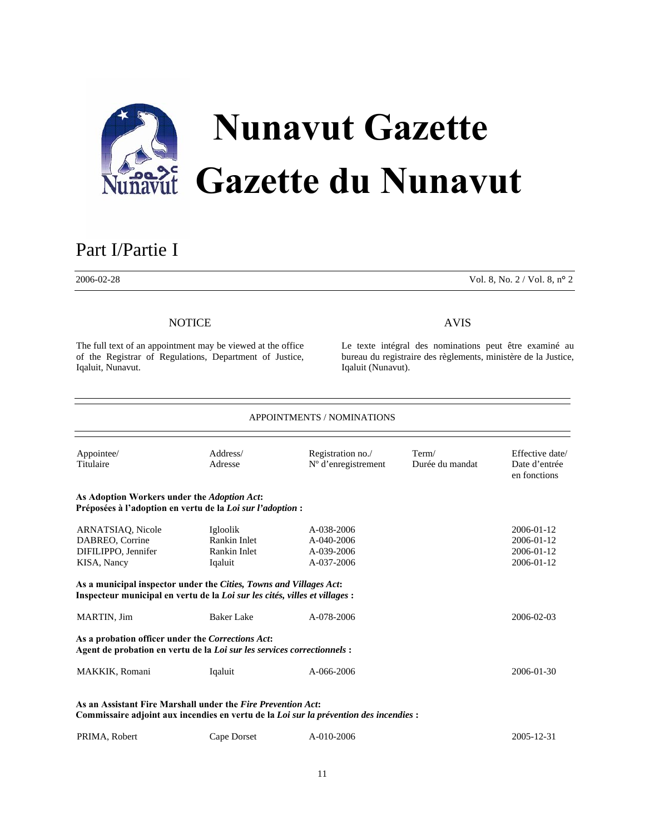

# Part I/Partie <sup>I</sup>

2006-02-28 Vol. 8, No. 2 / Vol. 8, n**°** 2

# **NOTICE**

The full text of an appointment may be viewed at the office of the Registrar of Regulations, Department of Justice, Iqaluit, Nunavut.

# AVIS

Le texte intégral des nominations peut être examiné au bureau du registraire des règlements, ministère de la Justice, Iqaluit (Nunavut).

| <b>APPOINTMENTS / NOMINATIONS</b>                                                                                                                                                                                               |                                                     |                                                             |                          |                                                            |  |
|---------------------------------------------------------------------------------------------------------------------------------------------------------------------------------------------------------------------------------|-----------------------------------------------------|-------------------------------------------------------------|--------------------------|------------------------------------------------------------|--|
| Appointee/<br>Titulaire                                                                                                                                                                                                         | Address/<br>Adresse                                 | Registration no./<br>N° d'enregistrement                    | Term/<br>Durée du mandat | Effective date/<br>Date d'entrée<br>en fonctions           |  |
| As Adoption Workers under the Adoption Act:<br>Préposées à l'adoption en vertu de la Loi sur l'adoption :                                                                                                                       |                                                     |                                                             |                          |                                                            |  |
| ARNATSIAO, Nicole<br>DABREO, Corrine<br>DIFILIPPO, Jennifer<br>KISA, Nancy<br>As a municipal inspector under the Cities, Towns and Villages Act:<br>Inspecteur municipal en vertu de la Loi sur les cités, villes et villages : | Igloolik<br>Rankin Inlet<br>Rankin Inlet<br>Iqaluit | $A - 0.38 - 2006$<br>A-040-2006<br>A-039-2006<br>A-037-2006 |                          | $2006 - 01 - 12$<br>2006-01-12<br>2006-01-12<br>2006-01-12 |  |
| MARTIN, Jim                                                                                                                                                                                                                     | <b>Baker Lake</b>                                   | A-078-2006                                                  |                          | 2006-02-03                                                 |  |
| As a probation officer under the Corrections Act:<br>Agent de probation en vertu de la Loi sur les services correctionnels :                                                                                                    |                                                     |                                                             |                          |                                                            |  |
| MAKKIK, Romani                                                                                                                                                                                                                  | Iqaluit                                             | A-066-2006                                                  |                          | 2006-01-30                                                 |  |
| As an Assistant Fire Marshall under the Fire Prevention Act:<br>Commissaire adjoint aux incendies en vertu de la Loi sur la prévention des incendies :                                                                          |                                                     |                                                             |                          |                                                            |  |

| PRIMA, Robert<br>Cape Dorset | A-010-2006 | 2005-12-31 |
|------------------------------|------------|------------|
|------------------------------|------------|------------|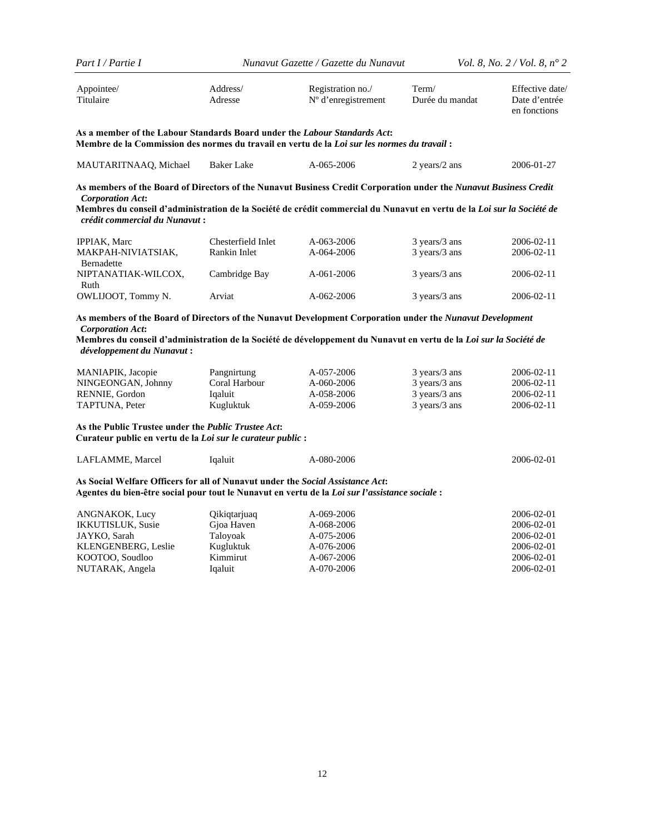| Part I / Partie I                                                                                                                                                                                                                                                                                                                                                       |                                                                            | Nunavut Gazette / Gazette du Nunavut                                             |                                                                  | <i>Vol.</i> 8, <i>No.</i> $2 / Vol. 8$ , $n^{\circ} 2$                           |
|-------------------------------------------------------------------------------------------------------------------------------------------------------------------------------------------------------------------------------------------------------------------------------------------------------------------------------------------------------------------------|----------------------------------------------------------------------------|----------------------------------------------------------------------------------|------------------------------------------------------------------|----------------------------------------------------------------------------------|
| Appointee/<br>Titulaire                                                                                                                                                                                                                                                                                                                                                 | Address/<br>Adresse                                                        | Registration no./<br>N° d'enregistrement                                         | Term/<br>Durée du mandat                                         | Effective date/<br>Date d'entrée<br>en fonctions                                 |
| As a member of the Labour Standards Board under the Labour Standards Act:<br>Membre de la Commission des normes du travail en vertu de la Loi sur les normes du travail :                                                                                                                                                                                               |                                                                            |                                                                                  |                                                                  |                                                                                  |
| MAUTARITNAAQ, Michael                                                                                                                                                                                                                                                                                                                                                   | <b>Baker Lake</b>                                                          | A-065-2006                                                                       | 2 years/2 ans                                                    | 2006-01-27                                                                       |
| As members of the Board of Directors of the Nunavut Business Credit Corporation under the Nunavut Business Credit<br><b>Corporation Act:</b><br>Membres du conseil d'administration de la Société de crédit commercial du Nunavut en vertu de la <i>Loi sur la Société de</i><br>crédit commercial du Nunavut :                                                         |                                                                            |                                                                                  |                                                                  |                                                                                  |
| <b>IPPIAK, Marc</b><br>MAKPAH-NIVIATSIAK,<br>Bernadette<br>NIPTANATIAK-WILCOX,                                                                                                                                                                                                                                                                                          | Chesterfield Inlet<br>Rankin Inlet<br>Cambridge Bay                        | A-063-2006<br>A-064-2006<br>A-061-2006                                           | 3 years/3 ans<br>3 years/3 ans<br>3 years/3 ans                  | 2006-02-11<br>2006-02-11<br>2006-02-11                                           |
| Ruth<br>OWLIJOOT, Tommy N.                                                                                                                                                                                                                                                                                                                                              | Arviat                                                                     | A-062-2006                                                                       | $3 \text{ years}/3$ ans                                          | 2006-02-11                                                                       |
| As members of the Board of Directors of the Nunavut Development Corporation under the Nunavut Development<br><b>Corporation Act:</b><br>Membres du conseil d'administration de la Société de développement du Nunavut en vertu de la Loi sur la Société de<br>développement du Nunavut :<br>MANIAPIK, Jacopie<br>NINGEONGAN, Johnny<br>RENNIE, Gordon<br>TAPTUNA, Peter | Pangnirtung<br>Coral Harbour<br>Iqaluit<br>Kugluktuk                       | A-057-2006<br>A-060-2006<br>A-058-2006<br>A-059-2006                             | 3 years/3 ans<br>3 years/3 ans<br>3 years/3 ans<br>3 years/3 ans | 2006-02-11<br>2006-02-11<br>2006-02-11<br>2006-02-11                             |
| As the Public Trustee under the Public Trustee Act:<br>Curateur public en vertu de la Loi sur le curateur public :                                                                                                                                                                                                                                                      |                                                                            |                                                                                  |                                                                  |                                                                                  |
| LAFLAMME, Marcel                                                                                                                                                                                                                                                                                                                                                        | Iqaluit                                                                    | A-080-2006                                                                       |                                                                  | 2006-02-01                                                                       |
| As Social Welfare Officers for all of Nunavut under the Social Assistance Act:<br>Agentes du bien-être social pour tout le Nunavut en vertu de la Loi sur l'assistance sociale :                                                                                                                                                                                        |                                                                            |                                                                                  |                                                                  |                                                                                  |
| ANGNAKOK, Lucy<br>IKKUTISLUK, Susie<br>JAYKO, Sarah<br>KLENGENBERG, Leslie<br>KOOTOO, Soudloo<br>NUTARAK, Angela                                                                                                                                                                                                                                                        | Qikiqtarjuaq<br>Gjoa Haven<br>Taloyoak<br>Kugluktuk<br>Kimmirut<br>Iqaluit | A-069-2006<br>A-068-2006<br>A-075-2006<br>A-076-2006<br>A-067-2006<br>A-070-2006 |                                                                  | 2006-02-01<br>2006-02-01<br>2006-02-01<br>2006-02-01<br>2006-02-01<br>2006-02-01 |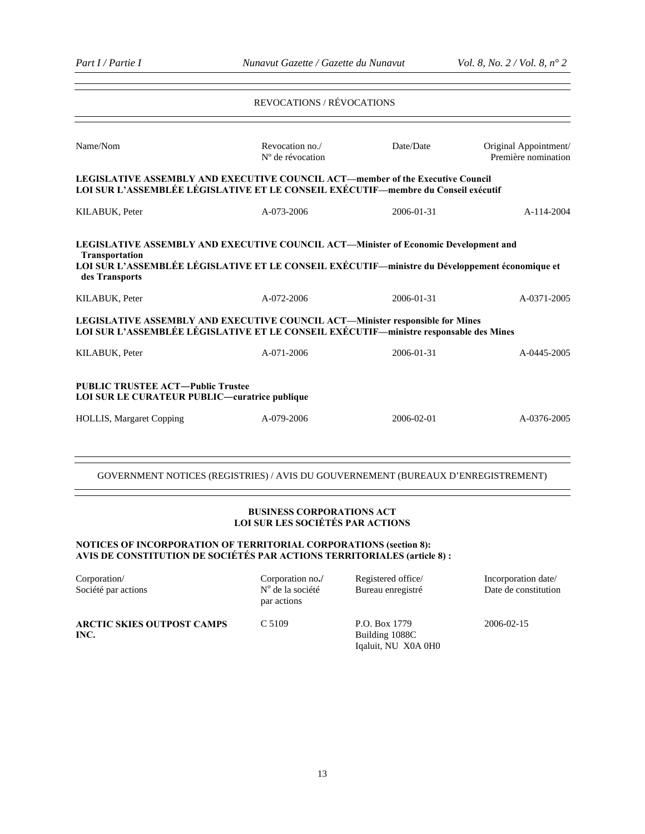# REVOCATIONS / RÉVOCATIONS Name/Nom Revocation no./ Nº de révocation Date/Date Original Appointment/ Première nomination **LEGISLATIVE ASSEMBLY AND EXECUTIVE COUNCIL ACT—member of the Executive Council LOI SUR L'ASSEMBLÉE LÉGISLATIVE ET LE CONSEIL EXÉCUTIF—membre du Conseil exécutif**  KILABUK, Peter A-073-2006 2006-01-31 A-114-2004 **LEGISLATIVE ASSEMBLY AND EXECUTIVE COUNCIL ACT—Minister of Economic Development and Transportation LOI SUR L'ASSEMBLÉE LÉGISLATIVE ET LE CONSEIL EXÉCUTIF—ministre du Développement économique et des Transports**  KILABUK, Peter A-072-2006 2006-01-31 A-0371-2005 **LEGISLATIVE ASSEMBLY AND EXECUTIVE COUNCIL ACT—Minister responsible for Mines LOI SUR L'ASSEMBLÉE LÉGISLATIVE ET LE CONSEIL EXÉCUTIF—ministre responsable des Mines**  KILABUK, Peter A-071-2006 2006-01-31 A-0445-2005 **PUBLIC TRUSTEE ACT―Public Trustee LOI SUR LE CURATEUR PUBLIC―curatrice publique** HOLLIS, Margaret Copping A-079-2006 2006-02-01 A-0376-2005

GOVERNMENT NOTICES (REGISTRIES) / AVIS DU GOUVERNEMENT (BUREAUX D'ENREGISTREMENT)

## **BUSINESS CORPORATIONS ACT LOI SUR LES SOCIÉTÉS PAR ACTIONS**

## **NOTICES OF INCORPORATION OF TERRITORIAL CORPORATIONS (section 8): AVIS DE CONSTITUTION DE SOCIÉTÉS PAR ACTIONS TERRITORIALES (article 8) :**

| Corporation/<br>Société par actions       | Corporation no./<br>$No$ de la société<br>par actions | Registered office/<br>Bureau enregistré                | Incorporation date/<br>Date de constitution |
|-------------------------------------------|-------------------------------------------------------|--------------------------------------------------------|---------------------------------------------|
| <b>ARCTIC SKIES OUTPOST CAMPS</b><br>INC. | C.5109                                                | P.O. Box 1779<br>Building 1088C<br>Iqaluit, NU X0A 0H0 | 2006-02-15                                  |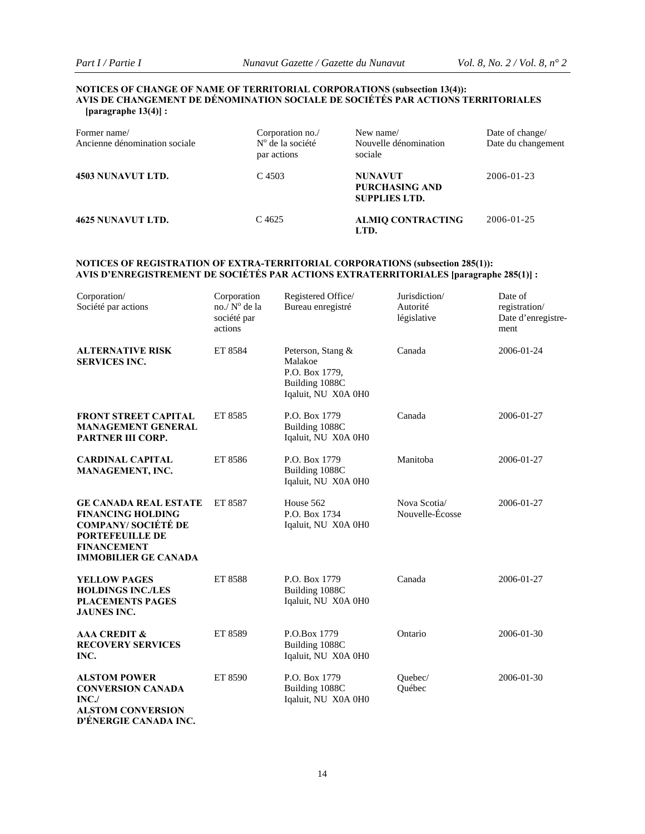#### **NOTICES OF CHANGE OF NAME OF TERRITORIAL CORPORATIONS (subsection 13(4)): AVIS DE CHANGEMENT DE DÉNOMINATION SOCIALE DE SOCIÉTÉS PAR ACTIONS TERRITORIALES [paragraphe 13(4)] :**

| Former name/<br>Ancienne dénomination sociale | Corporation no./<br>$No$ de la société<br>par actions | New name/<br>Nouvelle dénomination<br>sociale                   | Date of change/<br>Date du changement |
|-----------------------------------------------|-------------------------------------------------------|-----------------------------------------------------------------|---------------------------------------|
| 4503 NUNAVUT LTD.                             | C 4503                                                | <b>NUNAVUT</b><br><b>PURCHASING AND</b><br><b>SUPPLIES LTD.</b> | 2006-01-23                            |
| 4625 NUNAVUT LTD.                             | C.4625                                                | <b>ALMIQ CONTRACTING</b><br>LTD.                                | 2006-01-25                            |

## **NOTICES OF REGISTRATION OF EXTRA-TERRITORIAL CORPORATIONS (subsection 285(1)): AVIS D'ENREGISTREMENT DE SOCIÉTÉS PAR ACTIONS EXTRATERRITORIALES [paragraphe 285(1)] :**

| Corporation/<br>Société par actions                                                                                                                                   | Corporation<br>no./N° de la<br>société par<br>actions | Registered Office/<br>Bureau enregistré                                                 | Jurisdiction/<br>Autorité<br>législative | Date of<br>registration/<br>Date d'enregistre-<br>ment |
|-----------------------------------------------------------------------------------------------------------------------------------------------------------------------|-------------------------------------------------------|-----------------------------------------------------------------------------------------|------------------------------------------|--------------------------------------------------------|
| <b>ALTERNATIVE RISK</b><br><b>SERVICES INC.</b>                                                                                                                       | ET 8584                                               | Peterson, Stang &<br>Malakoe<br>P.O. Box 1779,<br>Building 1088C<br>Iqaluit, NU X0A 0H0 | Canada                                   | 2006-01-24                                             |
| <b>FRONT STREET CAPITAL</b><br><b>MANAGEMENT GENERAL</b><br>PARTNER III CORP.                                                                                         | ET 8585                                               | P.O. Box 1779<br>Building 1088C<br>Iqaluit, NU X0A 0H0                                  | Canada                                   | 2006-01-27                                             |
| <b>CARDINAL CAPITAL</b><br>MANAGEMENT, INC.                                                                                                                           | ET 8586                                               | P.O. Box 1779<br>Building 1088C<br>Iqaluit, NU X0A 0H0                                  | Manitoba                                 | 2006-01-27                                             |
| <b>GE CANADA REAL ESTATE</b><br><b>FINANCING HOLDING</b><br><b>COMPANY/ SOCIÉTÉ DE</b><br><b>PORTEFEUILLE DE</b><br><b>FINANCEMENT</b><br><b>IMMOBILIER GE CANADA</b> | ET 8587                                               | House 562<br>P.O. Box 1734<br>Iqaluit, NU X0A 0H0                                       | Nova Scotia/<br>Nouvelle-Écosse          | 2006-01-27                                             |
| <b>YELLOW PAGES</b><br><b>HOLDINGS INC./LES</b><br><b>PLACEMENTS PAGES</b><br><b>JAUNES INC.</b>                                                                      | ET 8588                                               | P.O. Box 1779<br>Building 1088C<br>Iqaluit, NU X0A 0H0                                  | Canada                                   | 2006-01-27                                             |
| <b>AAA CREDIT &amp;</b><br><b>RECOVERY SERVICES</b><br>INC.                                                                                                           | ET 8589                                               | P.O.Box 1779<br>Building 1088C<br>Iqaluit, NU X0A 0H0                                   | Ontario                                  | 2006-01-30                                             |
| <b>ALSTOM POWER</b><br><b>CONVERSION CANADA</b><br>INC<br><b>ALSTOM CONVERSION</b><br>D'ÉNERGIE CANADA INC.                                                           | ET 8590                                               | P.O. Box 1779<br>Building 1088C<br>Iqaluit, NU X0A 0H0                                  | Ouebec/<br>Ouébec                        | 2006-01-30                                             |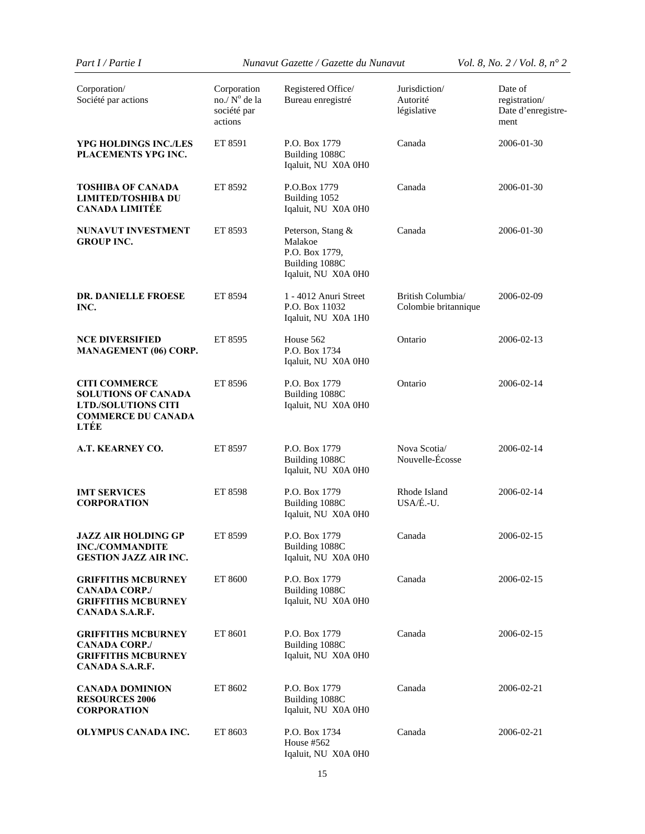| Part I / Partie I                                                                                                     | Nunavut Gazette / Gazette du Nunavut                  |                                                                                         |                                           | <i>Vol.</i> 8, <i>No.</i> $2 / Vol. 8$ , $n^{\circ} 2$ |  |
|-----------------------------------------------------------------------------------------------------------------------|-------------------------------------------------------|-----------------------------------------------------------------------------------------|-------------------------------------------|--------------------------------------------------------|--|
| Corporation/<br>Société par actions                                                                                   | Corporation<br>no./N° de la<br>société par<br>actions | Registered Office/<br>Bureau enregistré                                                 | Jurisdiction/<br>Autorité<br>législative  | Date of<br>registration/<br>Date d'enregistre-<br>ment |  |
| YPG HOLDINGS INC./LES<br>PLACEMENTS YPG INC.                                                                          | ET 8591                                               | P.O. Box 1779<br>Building 1088C<br>Iqaluit, NU X0A 0H0                                  | Canada                                    | 2006-01-30                                             |  |
| <b>TOSHIBA OF CANADA</b><br><b>LIMITED/TOSHIBA DU</b><br><b>CANADA LIMITÉE</b>                                        | ET 8592                                               | P.O.Box 1779<br>Building 1052<br>Iqaluit, NU X0A 0H0                                    | Canada                                    | 2006-01-30                                             |  |
| <b>NUNAVUT INVESTMENT</b><br><b>GROUP INC.</b>                                                                        | ET 8593                                               | Peterson, Stang &<br>Malakoe<br>P.O. Box 1779,<br>Building 1088C<br>Iqaluit, NU X0A 0H0 | Canada                                    | 2006-01-30                                             |  |
| <b>DR. DANIELLE FROESE</b><br>INC.                                                                                    | ET 8594                                               | 1 - 4012 Anuri Street<br>P.O. Box 11032<br>Iqaluit, NU X0A 1H0                          | British Columbia/<br>Colombie britannique | 2006-02-09                                             |  |
| <b>NCE DIVERSIFIED</b><br><b>MANAGEMENT (06) CORP.</b>                                                                | ET 8595                                               | House 562<br>P.O. Box 1734<br>Iqaluit, NU X0A 0H0                                       | Ontario                                   | 2006-02-13                                             |  |
| <b>CITI COMMERCE</b><br><b>SOLUTIONS OF CANADA</b><br><b>LTD./SOLUTIONS CITI</b><br><b>COMMERCE DU CANADA</b><br>LTÉE | ET 8596                                               | P.O. Box 1779<br>Building 1088C<br>Iqaluit, NU X0A 0H0                                  | Ontario                                   | 2006-02-14                                             |  |
| A.T. KEARNEY CO.                                                                                                      | ET 8597                                               | P.O. Box 1779<br>Building 1088C<br>Iqaluit, NU X0A 0H0                                  | Nova Scotia/<br>Nouvelle-Écosse           | 2006-02-14                                             |  |
| <b>IMT SERVICES</b><br><b>CORPORATION</b>                                                                             | ET 8598                                               | P.O. Box 1779<br>Building 1088C<br>Iqaluit, NU X0A 0H0                                  | Rhode Island<br>USA/É.-U.                 | 2006-02-14                                             |  |
| <b>JAZZ AIR HOLDING GP</b><br><b>INC./COMMANDITE</b><br><b>GESTION JAZZ AIR INC.</b>                                  | ET 8599                                               | P.O. Box 1779<br>Building 1088C<br>Iqaluit, NU X0A 0H0                                  | Canada                                    | 2006-02-15                                             |  |
| <b>GRIFFITHS MCBURNEY</b><br><b>CANADA CORP./</b><br><b>GRIFFITHS MCBURNEY</b><br>CANADA S.A.R.F.                     | ET 8600                                               | P.O. Box 1779<br>Building 1088C<br>Iqaluit, NU X0A 0H0                                  | Canada                                    | 2006-02-15                                             |  |
| <b>GRIFFITHS MCBURNEY</b><br><b>CANADA CORP./</b><br><b>GRIFFITHS MCBURNEY</b><br>CANADA S.A.R.F.                     | ET 8601                                               | P.O. Box 1779<br>Building 1088C<br>Iqaluit, NU X0A 0H0                                  | Canada                                    | 2006-02-15                                             |  |
| <b>CANADA DOMINION</b><br><b>RESOURCES 2006</b><br><b>CORPORATION</b>                                                 | ET 8602                                               | P.O. Box 1779<br>Building 1088C<br>Iqaluit, NU X0A 0H0                                  | Canada                                    | 2006-02-21                                             |  |
| <b>OLYMPUS CANADA INC.</b>                                                                                            | ET 8603                                               | P.O. Box 1734<br>House #562<br>Iqaluit, NU X0A 0H0                                      | Canada                                    | 2006-02-21                                             |  |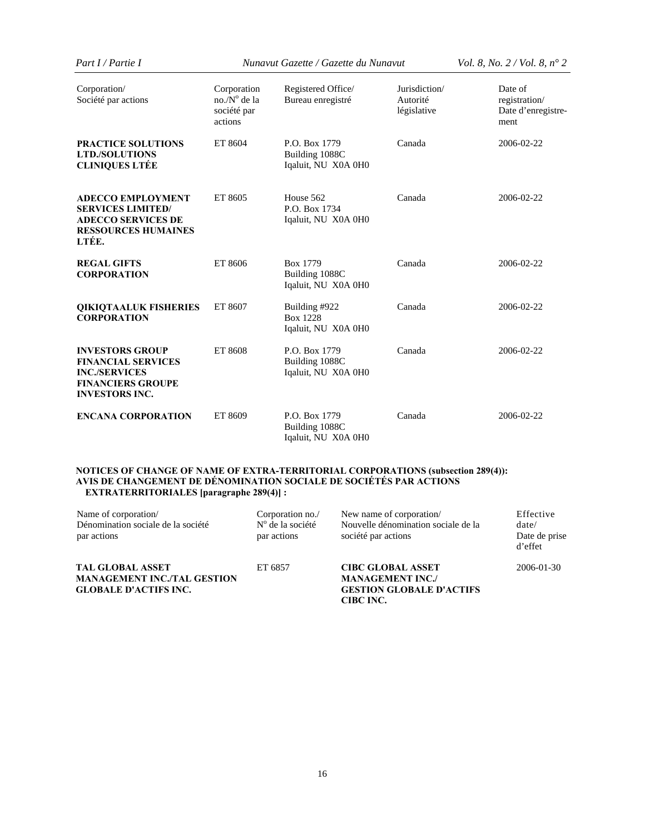| Part I / Partie I                                                                                                                | Nunavut Gazette / Gazette du Nunavut                           |                                                         |                                          | <i>Vol.</i> 8, <i>No.</i> $2 / Vol. 8$ , $n^{\circ} 2$ |  |
|----------------------------------------------------------------------------------------------------------------------------------|----------------------------------------------------------------|---------------------------------------------------------|------------------------------------------|--------------------------------------------------------|--|
| Corporation/<br>Société par actions                                                                                              | Corporation<br>$no./N^{\circ}$ de la<br>société par<br>actions | Registered Office/<br>Bureau enregistré                 | Jurisdiction/<br>Autorité<br>législative | Date of<br>registration/<br>Date d'enregistre-<br>ment |  |
| <b>PRACTICE SOLUTIONS</b><br><b>LTD./SOLUTIONS</b><br><b>CLINIQUES LTÉE</b>                                                      | ET 8604                                                        | P.O. Box 1779<br>Building 1088C<br>Iqaluit, NU X0A 0H0  | Canada                                   | 2006-02-22                                             |  |
| <b>ADECCO EMPLOYMENT</b><br><b>SERVICES LIMITED/</b><br><b>ADECCO SERVICES DE</b><br><b>RESSOURCES HUMAINES</b><br>LTÉE.         | ET 8605                                                        | House 562<br>P.O. Box 1734<br>Iqaluit, NU X0A 0H0       | Canada                                   | 2006-02-22                                             |  |
| <b>REGAL GIFTS</b><br><b>CORPORATION</b>                                                                                         | ET 8606                                                        | Box 1779<br>Building 1088C<br>Iqaluit, NU X0A 0H0       | Canada                                   | 2006-02-22                                             |  |
| <b>OIKIOTAALUK FISHERIES</b><br><b>CORPORATION</b>                                                                               | ET 8607                                                        | Building #922<br><b>Box 1228</b><br>Iqaluit, NU X0A 0H0 | Canada                                   | 2006-02-22                                             |  |
| <b>INVESTORS GROUP</b><br><b>FINANCIAL SERVICES</b><br><b>INC./SERVICES</b><br><b>FINANCIERS GROUPE</b><br><b>INVESTORS INC.</b> | ET 8608                                                        | P.O. Box 1779<br>Building 1088C<br>Iqaluit, NU X0A 0H0  | Canada                                   | 2006-02-22                                             |  |
| <b>ENCANA CORPORATION</b>                                                                                                        | ET 8609                                                        | P.O. Box 1779<br>Building 1088C<br>Iqaluit, NU X0A 0H0  | Canada                                   | 2006-02-22                                             |  |

#### **NOTICES OF CHANGE OF NAME OF EXTRA-TERRITORIAL CORPORATIONS (subsection 289(4)): AVIS DE CHANGEMENT DE DÉNOMINATION SOCIALE DE SOCIÉTÉS PAR ACTIONS EXTRATERRITORIALES [paragraphe 289(4)] :**

| Name of corporation/<br>Dénomination sociale de la société<br>par actions                     | Corporation no./<br>$No$ de la société<br>par actions | New name of corporation/<br>Nouvelle dénomination sociale de la<br>société par actions              | Effective<br>date/<br>Date de prise<br>d'effet |
|-----------------------------------------------------------------------------------------------|-------------------------------------------------------|-----------------------------------------------------------------------------------------------------|------------------------------------------------|
| <b>TAL GLOBAL ASSET</b><br><b>MANAGEMENT INC./TAL GESTION</b><br><b>GLOBALE D'ACTIFS INC.</b> | ET 6857                                               | <b>CIBC GLOBAL ASSET</b><br><b>MANAGEMENT INC./</b><br><b>GESTION GLOBALE D'ACTIFS</b><br>CIBC INC. | 2006-01-30                                     |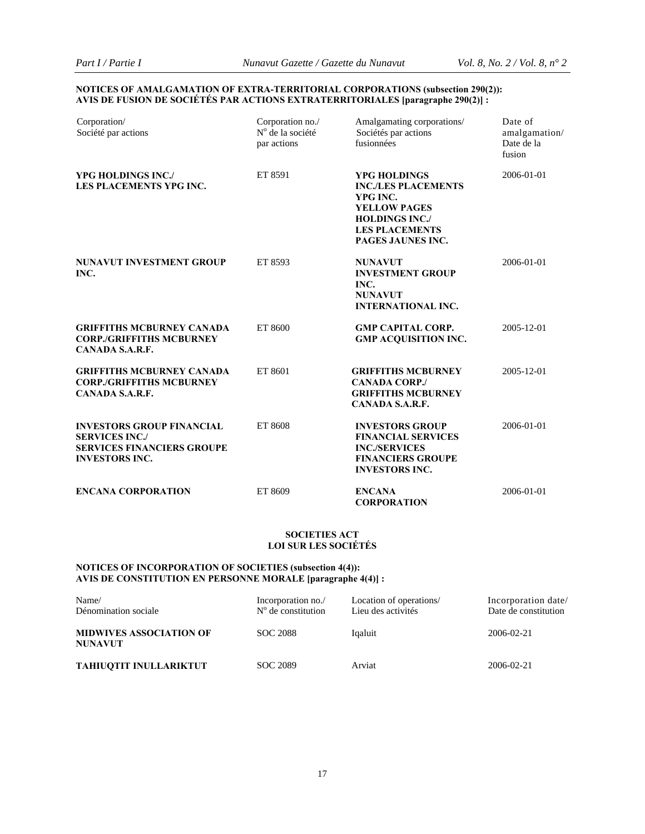#### **NOTICES OF AMALGAMATION OF EXTRA-TERRITORIAL CORPORATIONS (subsection 290(2)): AVIS DE FUSION DE SOCIÉTÉS PAR ACTIONS EXTRATERRITORIALES [paragraphe 290(2)] :**

| Corporation/<br>Société par actions                                                                                     | Corporation no./<br>Nº de la société<br>par actions | Amalgamating corporations/<br>Sociétés par actions<br>fusionnées                                                                                            | Date of<br>amalgamation/<br>Date de la<br>fusion |
|-------------------------------------------------------------------------------------------------------------------------|-----------------------------------------------------|-------------------------------------------------------------------------------------------------------------------------------------------------------------|--------------------------------------------------|
| <b>YPG HOLDINGS INC./</b><br>LES PLACEMENTS YPG INC.                                                                    | ET 8591                                             | <b>YPG HOLDINGS</b><br><b>INC./LES PLACEMENTS</b><br>YPG INC.<br><b>YELLOW PAGES</b><br><b>HOLDINGS INC./</b><br><b>LES PLACEMENTS</b><br>PAGES JAUNES INC. | 2006-01-01                                       |
| <b>NUNAVUT INVESTMENT GROUP</b><br>INC.                                                                                 | ET 8593                                             | <b>NUNAVUT</b><br><b>INVESTMENT GROUP</b><br>INC.<br><b>NUNAVUT</b><br><b>INTERNATIONAL INC.</b>                                                            | 2006-01-01                                       |
| <b>GRIFFITHS MCBURNEY CANADA</b><br><b>CORP./GRIFFITHS MCBURNEY</b><br>CANADA S.A.R.F.                                  | ET 8600                                             | <b>GMP CAPITAL CORP.</b><br><b>GMP ACQUISITION INC.</b>                                                                                                     | 2005-12-01                                       |
| <b>GRIFFITHS MCBURNEY CANADA</b><br><b>CORP./GRIFFITHS MCBURNEY</b><br>CANADA S.A.R.F.                                  | ET 8601                                             | <b>GRIFFITHS MCBURNEY</b><br><b>CANADA CORP./</b><br><b>GRIFFITHS MCBURNEY</b><br>CANADA S.A.R.F.                                                           | 2005-12-01                                       |
| <b>INVESTORS GROUP FINANCIAL</b><br><b>SERVICES INC./</b><br><b>SERVICES FINANCIERS GROUPE</b><br><b>INVESTORS INC.</b> | ET 8608                                             | <b>INVESTORS GROUP</b><br><b>FINANCIAL SERVICES</b><br><b>INC./SERVICES</b><br><b>FINANCIERS GROUPE</b><br><b>INVESTORS INC.</b>                            | 2006-01-01                                       |
| <b>ENCANA CORPORATION</b>                                                                                               | ET 8609                                             | <b>ENCANA</b><br><b>CORPORATION</b>                                                                                                                         | 2006-01-01                                       |

#### **SOCIETIES ACT LOI SUR LES SOCIÉTÉS**

# **NOTICES OF INCORPORATION OF SOCIETIES (subsection 4(4)): AVIS DE CONSTITUTION EN PERSONNE MORALE [paragraphe 4(4)] :**

| Name/<br>Dénomination sociale                    | Incorporation no./<br>$N^{\circ}$ de constitution | Location of operations/<br>Lieu des activités | Incorporation date/<br>Date de constitution |
|--------------------------------------------------|---------------------------------------------------|-----------------------------------------------|---------------------------------------------|
| <b>MIDWIVES ASSOCIATION OF</b><br><b>NUNAVUT</b> | SOC 2088                                          | Iqaluit                                       | 2006-02-21                                  |
| <b>TAHIUOTIT INULLARIKTUT</b>                    | SOC 2089                                          | Arviat                                        | 2006-02-21                                  |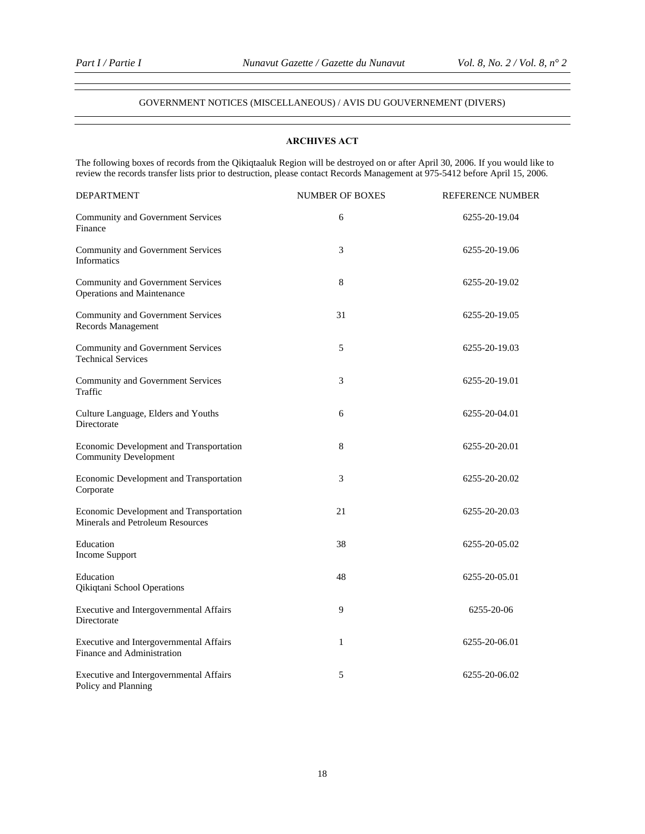#### GOVERNMENT NOTICES (MISCELLANEOUS) / AVIS DU GOUVERNEMENT (DIVERS)

## **ARCHIVES ACT**

The following boxes of records from the Qikiqtaaluk Region will be destroyed on or after April 30, 2006. If you would like to review the records transfer lists prior to destruction, please contact Records Management at 975-5412 before April 15, 2006.

| <b>DEPARTMENT</b>                                                           | <b>NUMBER OF BOXES</b> | REFERENCE NUMBER |
|-----------------------------------------------------------------------------|------------------------|------------------|
| Community and Government Services<br>Finance                                | 6                      | 6255-20-19.04    |
| Community and Government Services<br><b>Informatics</b>                     | 3                      | 6255-20-19.06    |
| Community and Government Services<br>Operations and Maintenance             | 8                      | 6255-20-19.02    |
| Community and Government Services<br>Records Management                     | 31                     | 6255-20-19.05    |
| Community and Government Services<br><b>Technical Services</b>              | 5                      | 6255-20-19.03    |
| Community and Government Services<br>Traffic                                | 3                      | 6255-20-19.01    |
| Culture Language, Elders and Youths<br>Directorate                          | 6                      | 6255-20-04.01    |
| Economic Development and Transportation<br><b>Community Development</b>     | 8                      | 6255-20-20.01    |
| Economic Development and Transportation<br>Corporate                        | 3                      | 6255-20-20.02    |
| Economic Development and Transportation<br>Minerals and Petroleum Resources | 21                     | 6255-20-20.03    |
| Education<br><b>Income Support</b>                                          | 38                     | 6255-20-05.02    |
| Education<br>Qikiqtani School Operations                                    | 48                     | 6255-20-05.01    |
| Executive and Intergovernmental Affairs<br>Directorate                      | 9                      | 6255-20-06       |
| Executive and Intergovernmental Affairs<br>Finance and Administration       | 1                      | 6255-20-06.01    |
| Executive and Intergovernmental Affairs<br>Policy and Planning              | 5                      | 6255-20-06.02    |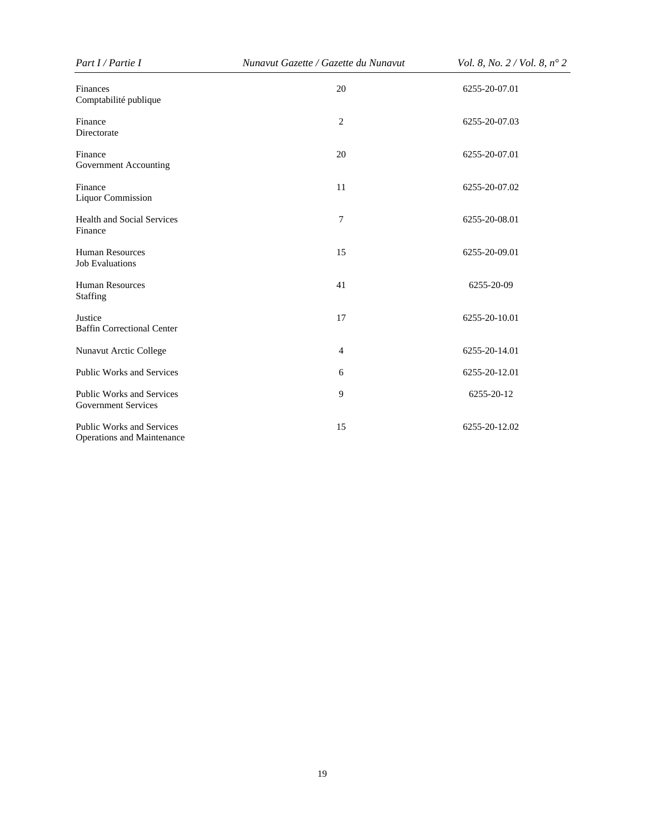| Part I / Partie I                                                     | Nunavut Gazette / Gazette du Nunavut | Vol. 8, No. 2 / Vol. 8, n° 2 |  |  |
|-----------------------------------------------------------------------|--------------------------------------|------------------------------|--|--|
| Finances<br>Comptabilité publique                                     | 20                                   | 6255-20-07.01                |  |  |
| Finance<br>Directorate                                                | $\overline{c}$                       | 6255-20-07.03                |  |  |
| Finance<br>Government Accounting                                      | 20                                   | 6255-20-07.01                |  |  |
| Finance<br><b>Liquor Commission</b>                                   | 11                                   | 6255-20-07.02                |  |  |
| <b>Health and Social Services</b><br>Finance                          | $\overline{7}$                       | 6255-20-08.01                |  |  |
| <b>Human Resources</b><br><b>Job Evaluations</b>                      | 15                                   | 6255-20-09.01                |  |  |
| <b>Human Resources</b><br>Staffing                                    | 41                                   | 6255-20-09                   |  |  |
| Justice<br><b>Baffin Correctional Center</b>                          | 17                                   | 6255-20-10.01                |  |  |
| Nunavut Arctic College                                                | 4                                    | 6255-20-14.01                |  |  |
| <b>Public Works and Services</b>                                      | 6                                    | 6255-20-12.01                |  |  |
| <b>Public Works and Services</b><br><b>Government Services</b>        | 9                                    | 6255-20-12                   |  |  |
| <b>Public Works and Services</b><br><b>Operations and Maintenance</b> | 15                                   | 6255-20-12.02                |  |  |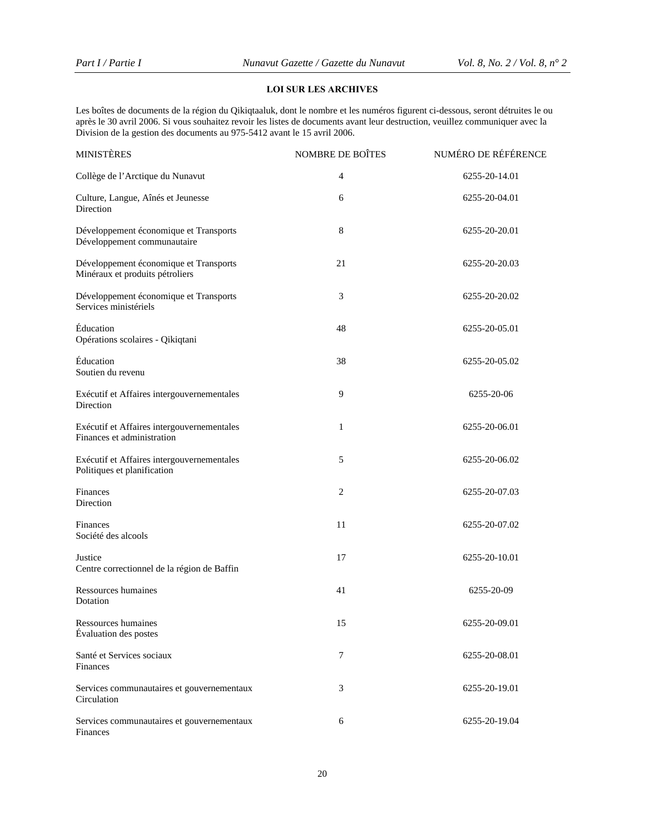## **LOI SUR LES ARCHIVES**

Les boîtes de documents de la région du Qikiqtaaluk, dont le nombre et les numéros figurent ci-dessous, seront détruites le ou après le 30 avril 2006. Si vous souhaitez revoir les listes de documents avant leur destruction, veuillez communiquer avec la Division de la gestion des documents au 975-5412 avant le 15 avril 2006.

| <b>MINISTÈRES</b>                                                         | NOMBRE DE BOÎTES | NUMÉRO DE RÉFÉRENCE |
|---------------------------------------------------------------------------|------------------|---------------------|
| Collège de l'Arctique du Nunavut                                          | 4                | 6255-20-14.01       |
| Culture, Langue, Aînés et Jeunesse<br>Direction                           | 6                | 6255-20-04.01       |
| Développement économique et Transports<br>Développement communautaire     | 8                | 6255-20-20.01       |
| Développement économique et Transports<br>Minéraux et produits pétroliers | 21               | 6255-20-20.03       |
| Développement économique et Transports<br>Services ministériels           | 3                | 6255-20-20.02       |
| Éducation<br>Opérations scolaires - Qikiqtani                             | 48               | 6255-20-05.01       |
| Éducation<br>Soutien du revenu                                            | 38               | 6255-20-05.02       |
| Exécutif et Affaires intergouvernementales<br>Direction                   | 9                | 6255-20-06          |
| Exécutif et Affaires intergouvernementales<br>Finances et administration  | 1                | 6255-20-06.01       |
| Exécutif et Affaires intergouvernementales<br>Politiques et planification | 5                | 6255-20-06.02       |
| Finances<br>Direction                                                     | 2                | 6255-20-07.03       |
| Finances<br>Société des alcools                                           | 11               | 6255-20-07.02       |
| Justice<br>Centre correctionnel de la région de Baffin                    | 17               | 6255-20-10.01       |
| Ressources humaines<br>Dotation                                           | 41               | 6255-20-09          |
| Ressources humaines<br>Évaluation des postes                              | 15               | 6255-20-09.01       |
| Santé et Services sociaux<br>Finances                                     | 7                | 6255-20-08.01       |
| Services communautaires et gouvernementaux<br>Circulation                 | 3                | 6255-20-19.01       |
| Services communautaires et gouvernementaux<br>Finances                    | 6                | 6255-20-19.04       |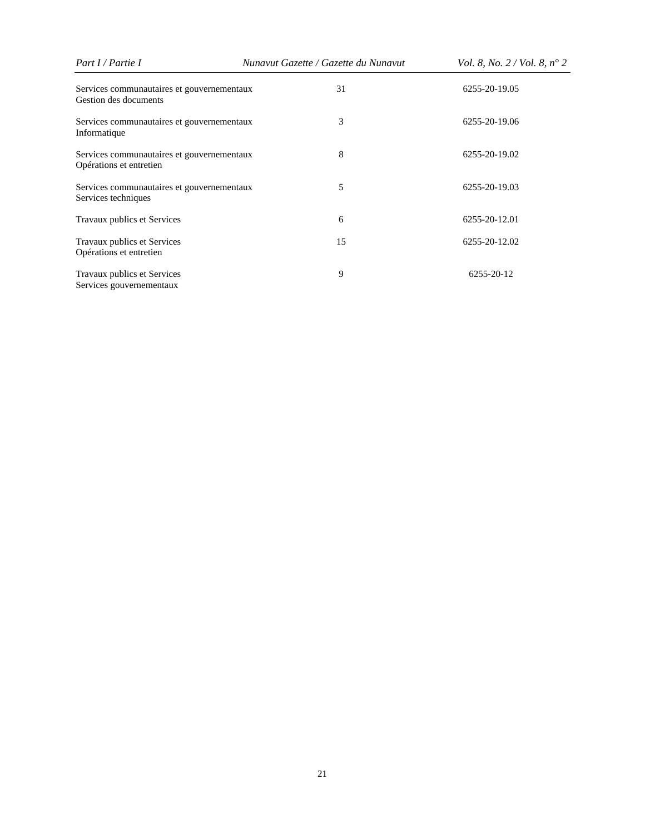| Part I / Partie I                                                     | Nunavut Gazette / Gazette du Nunavut | <i>Vol.</i> 8, <i>No.</i> $2 / Vol. 8$ , $n^{\circ} 2$ |  |  |
|-----------------------------------------------------------------------|--------------------------------------|--------------------------------------------------------|--|--|
| Services communautaires et gouvernementaux<br>Gestion des documents   | 31                                   | 6255-20-19.05                                          |  |  |
| Services communautaires et gouvernementaux<br>Informatique            | 3                                    | 6255-20-19.06                                          |  |  |
| Services communautaires et gouvernementaux<br>Opérations et entretien | 8                                    | 6255-20-19.02                                          |  |  |
| Services communautaires et gouvernementaux<br>Services techniques     | 5                                    | 6255-20-19.03                                          |  |  |
| Travaux publics et Services                                           | 6                                    | 6255-20-12.01                                          |  |  |
| Travaux publics et Services<br>Opérations et entretien                | 15                                   | 6255-20-12.02                                          |  |  |
| Travaux publics et Services<br>Services gouvernementaux               | 9                                    | 6255-20-12                                             |  |  |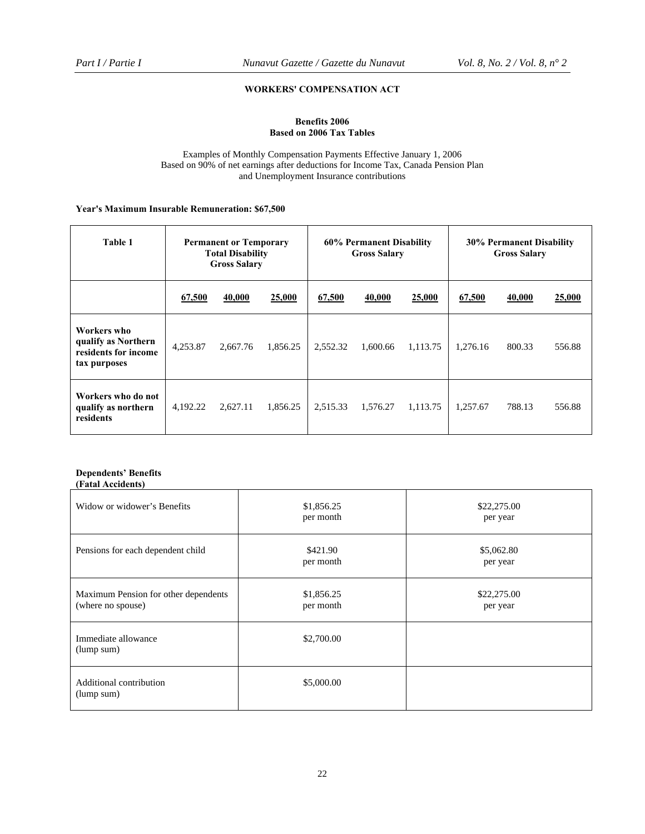## **WORKERS' COMPENSATION ACT**

## **Benefits 2006 Based on 2006 Tax Tables**

Examples of Monthly Compensation Payments Effective January 1, 2006 Based on 90% of net earnings after deductions for Income Tax, Canada Pension Plan and Unemployment Insurance contributions

## **Year's Maximum Insurable Remuneration: \$67,500**

| Table 1                                                                    | <b>Permanent or Temporary</b><br><b>Total Disability</b><br><b>Gross Salary</b> |          | 60% Permanent Disability<br><b>Gross Salary</b> |          | <b>30% Permanent Disability</b><br><b>Gross Salary</b> |          |          |        |        |
|----------------------------------------------------------------------------|---------------------------------------------------------------------------------|----------|-------------------------------------------------|----------|--------------------------------------------------------|----------|----------|--------|--------|
|                                                                            | 67,500                                                                          | 40,000   | 25,000                                          | 67,500   | 40,000                                                 | 25,000   | 67,500   | 40,000 | 25,000 |
| Workers who<br>qualify as Northern<br>residents for income<br>tax purposes | 4,253.87                                                                        | 2,667.76 | 1,856.25                                        | 2.552.32 | 1,600.66                                               | 1.113.75 | 1.276.16 | 800.33 | 556.88 |
| Workers who do not<br>qualify as northern<br>residents                     | 4,192.22                                                                        | 2.627.11 | 1,856.25                                        | 2,515.33 | 1,576.27                                               | 1,113.75 | 1.257.67 | 788.13 | 556.88 |

#### **Dependents' Benefits (Fatal Accidents)**

| Widow or widower's Benefits                               | \$1,856.25<br>per month | \$22,275.00<br>per year |
|-----------------------------------------------------------|-------------------------|-------------------------|
| Pensions for each dependent child                         | \$421.90<br>per month   | \$5,062.80<br>per year  |
| Maximum Pension for other dependents<br>(where no spouse) | \$1,856.25<br>per month | \$22,275.00<br>per year |
| Immediate allowance<br>(lump sum)                         | \$2,700.00              |                         |
| Additional contribution<br>(lump sum)                     | \$5,000.00              |                         |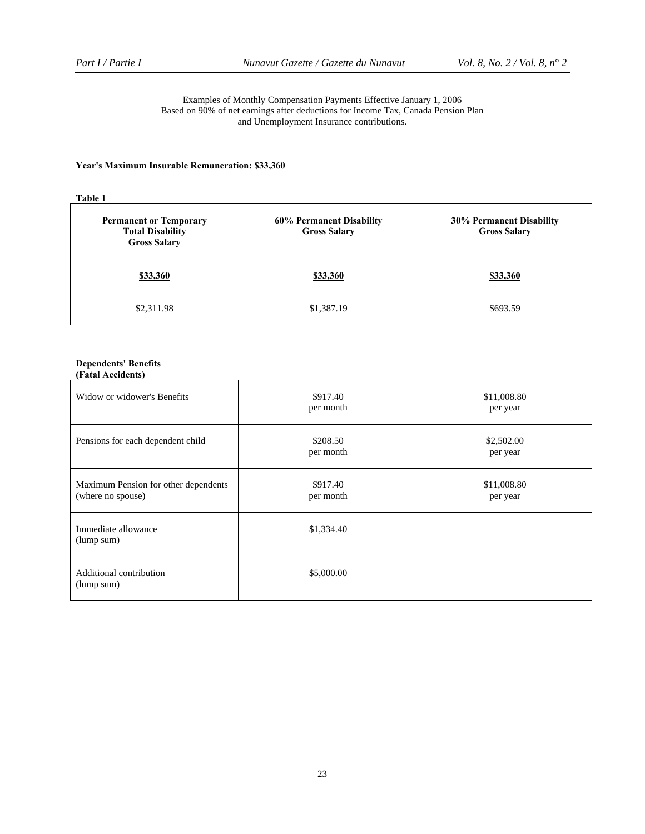#### Examples of Monthly Compensation Payments Effective January 1, 2006 Based on 90% of net earnings after deductions for Income Tax, Canada Pension Plan and Unemployment Insurance contributions.

## **Year's Maximum Insurable Remuneration: \$33,360**

**Table 1** 

| <b>Permanent or Temporary</b><br><b>Total Disability</b><br><b>Gross Salary</b> | 60% Permanent Disability<br><b>Gross Salary</b> | <b>30% Permanent Disability</b><br><b>Gross Salary</b> |
|---------------------------------------------------------------------------------|-------------------------------------------------|--------------------------------------------------------|
| \$33,360                                                                        | \$33,360                                        | \$33,360                                               |
| \$2,311.98                                                                      | \$1,387.19                                      | \$693.59                                               |

#### **Dependents' Benefits (Fatal Accidents)**

| Widow or widower's Benefits                               | \$917.40<br>per month | \$11,008.80<br>per year |
|-----------------------------------------------------------|-----------------------|-------------------------|
| Pensions for each dependent child                         | \$208.50<br>per month | \$2,502.00<br>per year  |
| Maximum Pension for other dependents<br>(where no spouse) | \$917.40<br>per month | \$11,008.80<br>per year |
| Immediate allowance<br>(lump sum)                         | \$1,334.40            |                         |
| Additional contribution<br>(lump sum)                     | \$5,000.00            |                         |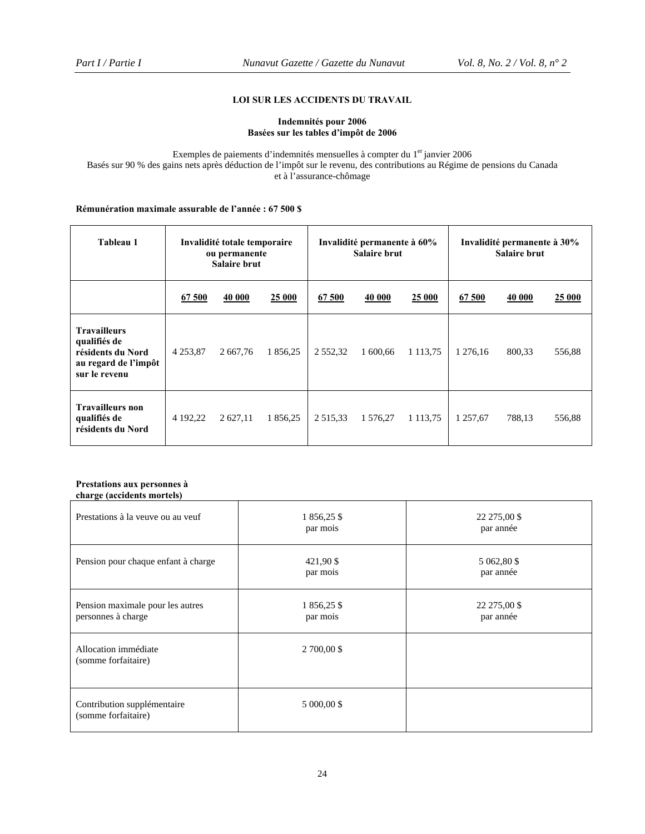## **LOI SUR LES ACCIDENTS DU TRAVAIL**

## **Indemnités pour 2006 Basées sur les tables d'impôt de 2006**

Exemples de paiements d'indemnités mensuelles à compter du 1<sup>er</sup> janvier 2006 Basés sur 90 % des gains nets après déduction de l'impôt sur le revenu, des contributions au Régime de pensions du Canada et à l'assurance-chômage

## **Rémunération maximale assurable de l'année : 67 500 \$**

| Tableau 1                                                                                         | Invalidité totale temporaire<br>ou permanente<br><b>Salaire brut</b> |          | Invalidité permanente à 60%<br><b>Salaire brut</b> |             | Invalidité permanente à 30%<br><b>Salaire brut</b> |               |          |        |        |
|---------------------------------------------------------------------------------------------------|----------------------------------------------------------------------|----------|----------------------------------------------------|-------------|----------------------------------------------------|---------------|----------|--------|--------|
|                                                                                                   | 67 500                                                               | 40 000   | 25 000                                             | 67 500      | 40 000                                             | 25 000        | 67 500   | 40 000 | 25 000 |
| <b>Travailleurs</b><br>qualifiés de<br>résidents du Nord<br>au regard de l'impôt<br>sur le revenu | 4 2 5 3 , 8 7                                                        | 2 667,76 | 1 856,25                                           | 2 5 5 2 3 2 | 1 600,66                                           | 1 1 1 3 .75   | 1 276,16 | 800,33 | 556,88 |
| <b>Travailleurs non</b><br>qualifiés de<br>résidents du Nord                                      | 4 192,22                                                             | 2 627,11 | 1 856,25                                           | 2 5 1 5 3 3 | 1 576,27                                           | 1 1 1 3 , 7 5 | 1 257,67 | 788,13 | 556,88 |

#### **Prestations aux personnes à charge (accidents mortels)**

| Prestations à la veuve ou au veuf                      | 1 856,25 \$<br>par mois | 22 275,00 \$<br>par année |
|--------------------------------------------------------|-------------------------|---------------------------|
| Pension pour chaque enfant à charge                    | 421,90 \$<br>par mois   | 5 062,80 \$<br>par année  |
| Pension maximale pour les autres<br>personnes à charge | 1 856,25 \$<br>par mois | 22 275,00 \$<br>par année |
| Allocation immédiate<br>(somme forfaitaire)            | 2 700,00 \$             |                           |
| Contribution supplémentaire<br>(somme forfaitaire)     | 5 000,00 \$             |                           |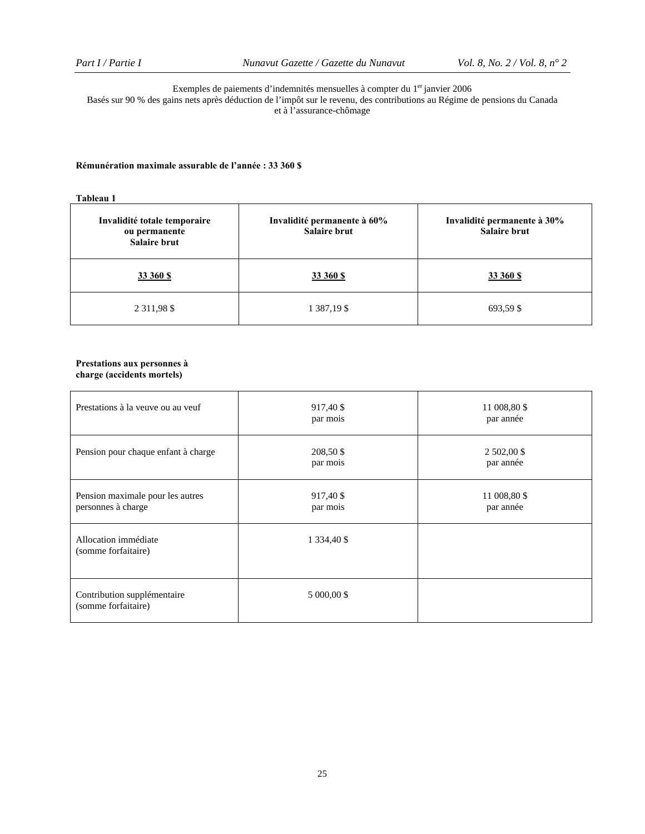#### Exemples de paiements d'indemnités mensuelles à compter du 1<sup>er</sup> janvier 2006 Basés sur 90 % des gains nets après déduction de l'impôt sur le revenu, des contributions au Régime de pensions du Canada et à l'assurance-chômage

## **Rémunération maximale assurable de l'année : 33 360 \$**

## **Tableau 1**

| Invalidité totale temporaire<br>ou permanente<br><b>Salaire brut</b> | Invalidité permanente à 60%<br><b>Salaire brut</b> | Invalidité permanente à 30%<br><b>Salaire brut</b> |
|----------------------------------------------------------------------|----------------------------------------------------|----------------------------------------------------|
| 33 360 \$                                                            | 33 360 S                                           | 33 360 S                                           |
| 2 3 1 1 9 8 \$                                                       | 1 387,19 \$                                        | 693,59 \$                                          |

#### **Prestations aux personnes à charge (accidents mortels)**

| Prestations à la veuve ou au veuf                      | 917,40 \$<br>par mois | 11 008,80 \$<br>par année |
|--------------------------------------------------------|-----------------------|---------------------------|
| Pension pour chaque enfant à charge                    | 208,50 \$<br>par mois | 2 502,00 \$<br>par année  |
| Pension maximale pour les autres<br>personnes à charge | 917,40 \$<br>par mois | 11 008,80 \$<br>par année |
| Allocation immédiate<br>(somme forfaitaire)            | 1 334,40 \$           |                           |
| Contribution supplémentaire<br>(somme forfaitaire)     | 5 000,00 \$           |                           |